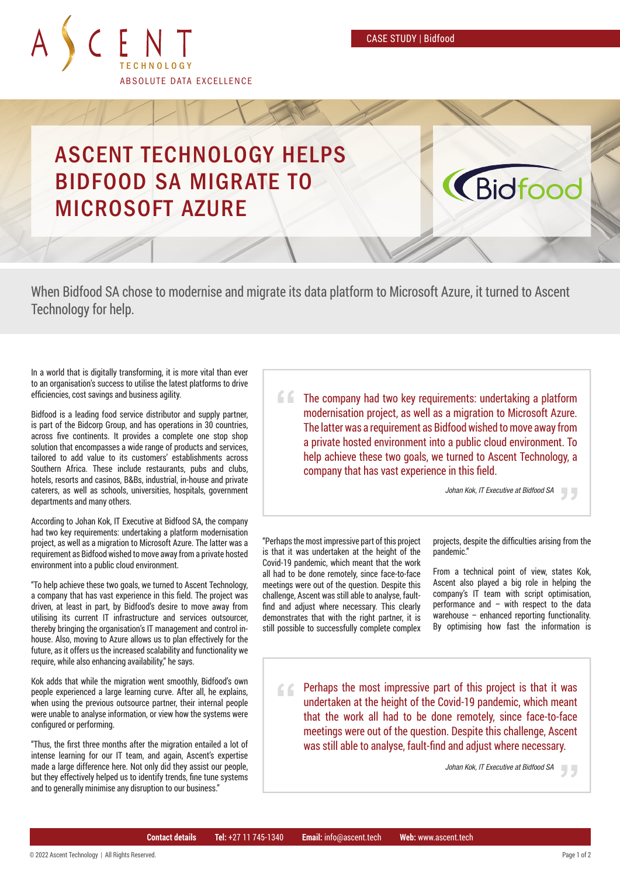CASE STUDY | Bidfood



## ASCENT TECHNOLOGY HELPS BIDFOOD SA MIGRATE TO MICROSOFT AZURE

When Bidfood SA chose to modernise and migrate its data platform to Microsoft Azure, it turned to Ascent Technology for help.

In a world that is digitally transforming, it is more vital than ever to an organisation's success to utilise the latest platforms to drive efficiencies, cost savings and business agility.

Bidfood is a leading food service distributor and supply partner, is part of the Bidcorp Group, and has operations in 30 countries, across five continents. It provides a complete one stop shop solution that encompasses a wide range of products and services, tailored to add value to its customers' establishments across Southern Africa. These include restaurants, pubs and clubs, hotels, resorts and casinos, B&Bs, industrial, in-house and private caterers, as well as schools, universities, hospitals, government departments and many others.

According to Johan Kok, IT Executive at Bidfood SA, the company had two key requirements: undertaking a platform modernisation project, as well as a migration to Microsoft Azure. The latter was a requirement as Bidfood wished to move away from a private hosted environment into a public cloud environment.

"To help achieve these two goals, we turned to Ascent Technology, a company that has vast experience in this field. The project was driven, at least in part, by Bidfood's desire to move away from utilising its current IT infrastructure and services outsourcer, thereby bringing the organisation's IT management and control inhouse. Also, moving to Azure allows us to plan effectively for the future, as it offers us the increased scalability and functionality we require, while also enhancing availability," he says.

Kok adds that while the migration went smoothly, Bidfood's own people experienced a large learning curve. After all, he explains, when using the previous outsource partner, their internal people were unable to analyse information, or view how the systems were configured or performing.

"Thus, the first three months after the migration entailed a lot of intense learning for our IT team, and again, Ascent's expertise made a large difference here. Not only did they assist our people, but they effectively helped us to identify trends, fine tune systems and to generally minimise any disruption to our business."

The company had two key requirements: undertaking a platform modernisation project, as well as a migration to Microsoft Azure. The latter was a requirement as Bidfood wished to move away from a private hosted environment into a public cloud environment. To help achieve these two goals, we turned to Ascent Technology, a company that has vast experience in this field.

*Johan Kok, IT Executive at Bidfood SA*

**Ridfor** 

"Perhaps the most impressive part of this project is that it was undertaken at the height of the Covid-19 pandemic, which meant that the work all had to be done remotely, since face-to-face meetings were out of the question. Despite this challenge, Ascent was still able to analyse, faultfind and adjust where necessary. This clearly demonstrates that with the right partner, it is still possible to successfully complete complex projects, despite the difficulties arising from the pandemic."

From a technical point of view, states Kok, Ascent also played a big role in helping the company's IT team with script optimisation, performance and – with respect to the data warehouse – enhanced reporting functionality. By optimising how fast the information is

Perhaps the most impressive part of this project is that it was 66. undertaken at the height of the Covid-19 pandemic, which meant that the work all had to be done remotely, since face-to-face meetings were out of the question. Despite this challenge, Ascent was still able to analyse, fault-find and adjust where necessary.

*Johan Kok, IT Executive at Bidfood SA*